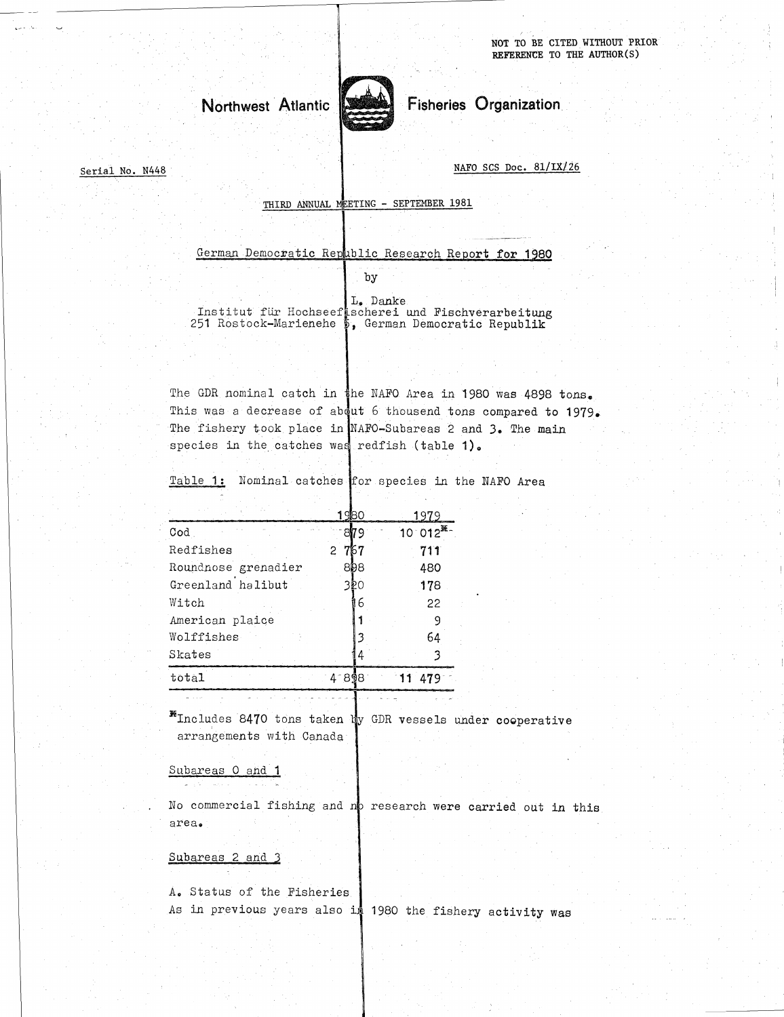

Serial No. N448 NAFO SCS Doc. 81/IX/26

THIRD ANNUAL METING - SEPTEMBER 1981

German Democratic Republic Research Report for 1980

by

Northwest Atlantic<br>
THIRD ANNUAL MEETING - SEPTEMBER 1981<br>
Cerman Democratic Republic Research Report for 198<br>
Dy<br>
The Little flir Hochseef Scherei und Fischverarbeitun<br>
251 Rostock-Marienehe<br>
6, German Democratic Republik Institut für Hochseef scherei und Fischverarbeitung L. Danke

I. Danke<br>
The GDR nominal catch in the NAPO Area in 1980 was 4898 tons.<br>
The GDR nominal catch in the NAPO Area in 1980 was 4898 tons.<br>
This was a decrease of about 6 thousend tons compared to 1979<br>
The fishery took place This was a decrease of about 6 thousend tons compared to 1979. The fishery took place in NAFO-Subareas 2 and 3. The main species in the catches was redfish (table 1).

Table 1: Nominal catches for species in the NATO Area

| <b>*Includes 8470 tons taken by GDR vessels ur</b> |                       |                |                       |
|----------------------------------------------------|-----------------------|----------------|-----------------------|
| total                                              | 418981                | 11             | 479                   |
| Skates                                             |                       | 4              | 3                     |
| Wolffishes                                         |                       | 3              | 64                    |
| American plaice                                    |                       |                | 9                     |
| Witch                                              |                       | 6              | 22                    |
| Greenland halibut                                  | 320                   |                | 178                   |
| Roundnose grenadier                                | 898                   |                | 480                   |
| Redfishes                                          | 767<br>$\overline{c}$ |                | 711                   |
| $\texttt{Cod}$                                     | 1980<br>8179          |                | 1979<br>$100012^{36}$ |
|                                                    |                       |                |                       |
| Table 1: Nominal catches for species in th         |                       |                |                       |
|                                                    |                       |                |                       |
| species in the catches was redfish (table          |                       |                |                       |
| The fishery took place in NAFO-Subareas 2 a        |                       |                |                       |
| This was a decrease of about 6 thousend tor        |                       |                |                       |
| The GDR nominal catch in the NAFO Area in          |                       |                |                       |
|                                                    |                       |                |                       |
|                                                    |                       |                |                       |
| 251 Rostock-Marienehe 5, German Democrat           |                       |                |                       |
| Institut für Hochseefischerei und Fisch            |                       | . ولك<br>лапке |                       |

Includes 8470 tons taken by GDR vessels under cooperative arrangements with Canada

Subareas 0 and 1

No commercial fishing and no research were carried out in this area.

## Subareas 2 and 3

A. Status of the Fisheries As in previous years also in 1980 the fishery activity was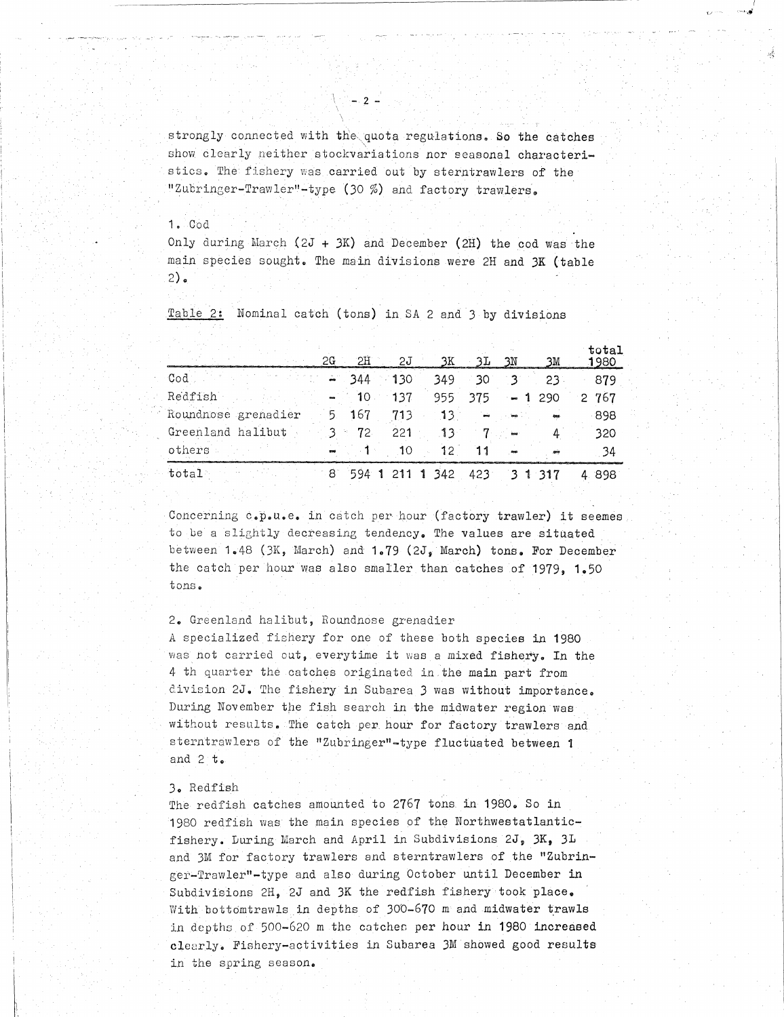strongly connected with the quota regulations. So the catches show clearly neither stockvariations nor seasonal characteristics. The fishery was carried out by sterntrawlers of the "Zubringer-Trawler"-type (30 %) and factory trawlers.  $\sqrt{2}$  - 2 -<br>strongly connected with the quota regulations. So the catch<br>show clearly neither stockvariations nor seasonal character<br>stics. The fishery was carried out by sterntrawlers of the<br>"Zubringer-Trawler"-type (30

## 1.-Cod

 

| strongly connected with the quota regulations. So the catches     |    |                 |     |                 |         |                |        |              |
|-------------------------------------------------------------------|----|-----------------|-----|-----------------|---------|----------------|--------|--------------|
| show clearly neither stockvariations nor seasonal characteri-     |    |                 |     |                 |         |                |        |              |
| stics. The fishery was carried out by sterntrawlers of the        |    |                 |     |                 |         |                |        |              |
| "Zubringer-Trawler"-type (30 %) and factory trawlers.             |    |                 |     |                 |         |                |        |              |
|                                                                   |    |                 |     |                 |         |                |        |              |
| $1. \quad$ Cod                                                    |    |                 |     |                 |         |                |        |              |
| Only during March $(2J + 3K)$ and December (2H) the cod was the   |    |                 |     |                 |         |                |        |              |
| main species sought. The main divisions were 2H and 3K (table     |    |                 |     |                 |         |                |        |              |
| $2)$ .                                                            |    |                 |     |                 |         |                |        |              |
|                                                                   |    |                 |     |                 |         |                |        |              |
| Table 2:<br>Nominal catch (tons) in SA 2 and 3 by divisions       |    |                 |     |                 |         |                |        |              |
|                                                                   |    |                 |     |                 |         |                |        |              |
|                                                                   |    |                 |     |                 |         |                |        | total        |
|                                                                   | 2G | SH              | 2J  | 3K              | ЗΙ      | 3N             | ЗM     | 1980         |
| Cod                                                               |    | 344             | 130 | 349             | 30      | ి 3            | 23     | 879          |
| Redfish                                                           |    | 10              | 137 | 955             | 375     | 1              | 290    | 767<br>$2 -$ |
| Roundnose grenadier                                               | 5  | 167             | 713 | 13 <sup>1</sup> |         |                |        | 898          |
| Greenland halibut                                                 | 3  | 72 <sub>1</sub> | 221 | 13              | 7       |                | 4      | 320          |
| others                                                            |    | 1               | 10  | 12 <sub>1</sub> | 11      |                | جی     | 34           |
| total                                                             | 81 |                 |     | 594 1 211 1 342 | $423 -$ | 3 <sub>1</sub> | $-317$ | 4898         |
|                                                                   |    |                 |     |                 |         |                |        |              |
| Concerning c.p.u.e. in catch per hour (factory trawler) it seemes |    |                 |     |                 |         |                |        |              |
|                                                                   |    |                 |     |                 |         |                |        |              |

Concerning c.p.u.e. in catch per-hour (factory trawler) it seemes to be a slightly decreasing tendency. The values are situated between 1.48 (3K, March) and  $1.79$  (2J, March) tons. For December the catch per hour was also smaller than catches of 1979, 1.50 tons.

2. Greenland halibut, Roundnose grenadier

A specialized fishery for one of these both species in 1980 was not carried out, everytime it was a mixed fishery. In the 4 th quarter the catches originated in the main part from <sup>d</sup> ivision 2J. The fishery in Subarea 3 was without importance. During November the fish search in the midwater region was without results. The catch per hour for factory trawlers and sterntrawlers of the "Zubringer"-type fluctuated between 1 and 2 t.

## 3. Redfish

The redfish catches amounted to 2767 tons in 1980. So in 1980 redfish was the main species of the Northwestatlanticfishery. During March and April in Subdivisions 2J, 3K, 3L and 3M for factory trawlers and sterntrawlers of the "Zubringer-Trawler"-type and also during October until December in Subdivisions 2H, 2J and 3K the redfish fishery took place. With bottomtrawls in depths of 300-670 m and midwater trawls in depths. of 500-620 m the catches per hour in 1980 increased clearly. Fishery-activities in Subarea 3M showed good results in the spring season.